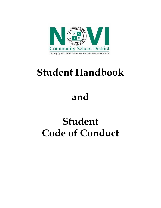

# **Student Handbook**

# **and**

# **Student Code of Conduct**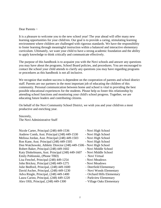#### Dear Parents ~

It is a pleasure to welcome you to the new school year! The year ahead will offer many new learning opportunities for your child/ren. Our goal is to provide a caring, stimulating learning environment where children are challenged with rigorous standards. We have the responsibility to foster learning through meaningful instruction within a balanced and interactive elementary curriculum. Ultimately, we want your child to have a strong academic foundation and the ability to apply knowledge to think critically and communicate effectively.

The purpose of this handbook is to acquaint you with the Novi schools and answer any questions you may have about the programs, School Board policies, and procedures. You are encouraged to contact the school your child attends to clarify any questions you may have regarding programs or procedures as this handbook is not all inclusive.

We recognize that student success is dependent on the cooperation of parents and school district staff. Parents are our partners in the most important job of educating the children of this community. Personal communication between home and school is vital to providing the best possible educational experiences for the students. Please help us foster this relationship by attending school functions and monitoring your child's school progress. Together, we are educating future leaders and contributing citizens.

On behalf of the Novi Community School District, we wish you and your child/ren a most productive and enriching year.

Sincerely, The Novi Administrative Staff

| Nicole Carter, Principal (248) 449-1536                             | - Novi High School         |
|---------------------------------------------------------------------|----------------------------|
| Andrew Comb, Asst. Principal (248) 449-1530                         | - Novi High School         |
| Melissa Jordan, Asst. Principal (248) 449-1503                      | - Novi High School         |
| Ron Kane, Asst. Principal (248) 449-1505                            | - Novi High School         |
| Don Watchowski, Athletic Director (248) 449-1506 - Novi High School |                            |
| Robert Baker, Principal (248) 449-1602                              | - Novi Middle School       |
| Katy Dinkelmann, Asst. Principal (248) 449-1607                     | - Novi Middle School       |
| Emily Pohlonski, (Phone TBD)                                        | - Novi Virtual             |
| Lisa Fenchel, Principal (248) 449-1254                              | - Novi Meadows             |
| John Brickey, Principal (248) 449-1275                              | - Novi Meadows             |
| Julie Bedford, Principal, (248) 449-1600                            | - Deerfield Elementary     |
| David Ascher, Principal, (248) 449-1230                             | - Novi Woods Elementary    |
| Adva Ringle, Principal, (248) 449-1400                              | - Orchard Hills Elementary |
| Laura Carino, Principal, (248) 449-1220                             | - Parkview Elementary      |
| Alex Ofili, Principal, (248) 449-1300                               | - Village Oaks Elementary  |
|                                                                     |                            |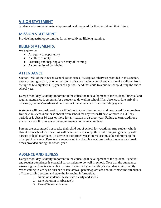# **VISION STATEMENT**

Students who are passionate, empowered, and prepared for their world and their future.

## **MISSION STATEMENT**

Provide impactful opportunities for all to cultivate lifelong learning.

# **BELIEF STATEMENTS:**

We believe in:

- An equity of opportunity
- A culture of unity
- Fostering and inspiring a curiosity of learning
- $\bullet$  A community of well-being

## **ATTENDANCE**

Section 1561 of the Revised School codes states, "Except as otherwise provided in this section, every parent, guardian, or other person in this state having control and charge of a children from the age of 6 to eighteen (18) years of age shall send that child to a public school during the entire school year.

Every school day is vitally important in the educational development of the student. Punctual and regular attendance is essential for a student to do well in school. If an absence or late arrival is necessary, parents/guardians should contact the attendance office recording system.

A student will be considered truant if he/she is absent from school and unexcused for more than five days in succession; or is absent from school for any reason10 days or more in a 30-day period; or is absent 30 days or more for any reason in a school year. Failure to earn credit or a grade may result from academic requirements not being completed.

Parents are encouraged not to take their child out of school for vacations. Any student who is absent from school for vacations will be unexcused, except those who are going directly with parents or legal guardians. This type of authorized vacation request must be submitted to the principal in advance. Parents are encouraged to schedule vacations during the generous break times provided during the school year.

## **ABSENCE AND ILLNESS**

Every school day is vitally important in the educational development of the student. Punctual and regular attendance is essential for a student to do well in school. Note that the attendance answering machine is available any time. Please call your building's attendance line directly. When calling to verify an absence or late arrival, parents/guardians should contact the attendance office recording system and state the following information:

- 1. Name of student (Please state clearly and spell)
- 2. Date/Duration of Absence(s)
- 3. Parent/Guardian Name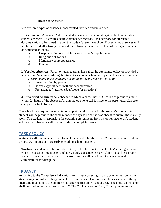4. Reason for Absence

There are three types of absences: documented, verified and unverified.

1. **Documented Absence:** A documented absence will not count against the total number of student absences. To ensure accurate attendance records, it is necessary for all related documentation to be turned in upon the student's return to school. Documented absences will not be accepted after two (2) school days following the absence. The following are considered documented absences:

- a. Hospitalization/medical leave or a doctor's appointment
- b. Religious obligations
- c. Mandatory court appearance
- d. Funeral

2. **Verified Absences:** Parent or legal guardian has called the attendance office or provided a note within 24 hours verifying the student was not at school with parental acknowledgement.

*A verified absence is typically one of the following but not limited to:*

- a. Illness verified by parent
- b. Doctors appointment (without documentation)
- c. Pre-arranged Vacation (See Above for directions)

3. **Unverified Absences**: Any absence in which a parent has NOT called or provided a note within 24 hours of the absence. An automated phone call is made to the parent/guardian after every unverified absence.

The school may require documentation explaining the reason for the student's absence. A student will be provided the same number of days as he or she was absent to submit the make-up work. The student is responsible for obtaining assignments from his or her teachers. A student with verified absences will receive credit for completed work.

## **TARDY POLICY**

A student will receive an absence for a class period if he/she arrives 20 minutes or more late or departs 20 minutes or more early excluding school business.

**Tardies**: A student will be considered tardy if he/she is not present in his/her assigned class when the passing time music concludes. Tardy consequences are subject to each classroom teacher's policies. Students with excessive tardies will be referred to their assigned administrator for discipline.

## **TRUANCY**

According to the Compulsory Education law, "Every parent, guardian, or other person in this state having control and charge of a child from the age of six to the child's sixteenth birthday, shall send that child to the public schools during that entire school year. The child's attendance shall be continuous and consecutive…." The Oakland County Early Truancy Intervention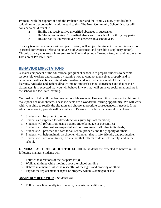Protocol, with the support of both the Probate Court and the Family Court, provides both guidelines and accountability with regard to this. The Novi Community School District will consider a child truant if:

- a. He/She has received five unverified absences in succession.
- b. He/She is has received 10 verified absences from school in a thirty day period.
- c. He/She has 30 unverified/verified absences in a school year.

Truancy (excessive absence without justification) will subject the student to school intervention (parental conferences, referral to Novi Youth Assistance, and possible disciplinary action). Chronic truancy may result in referral to the Oakland Schools Truancy Program and the Juvenile Division of Probate Court.

## **BEHAVIOR EXPECTATIONS**

A major component of the educational program at school is to prepare students to become responsible workers and citizens by learning how to conduct themselves properly and in accordance with established standards. Positive student conduct is essential for effective learning. Attitudes and actions directly impact student's school experience and that of their classmates. It is expected that you will behave in ways that will enhance social relationships in the school and facilitate learning.

Our goal is to help children become responsible students. However, it is common for children to make poor behavior choices. These incidents are a wonderful learning opportunity. We will work with your child to rectify the situation and choose appropriate consequences, if needed. If the situation warrants, parents will be contacted. Below are the basic behavioral expectations:

- 1. Students will be prompt to school;
- 2. Students are expected to follow directions given by staff members;
- 3. Students will refrain from using inappropriate language or obscenities;
- 4. Students will demonstrate respectful and courtesy toward all other individuals;
- 5. Students will preserve and care for all school property and the property of others;
- 6. Students will help maintain a school environment that is safe, friendly and productive;
- 7. Students will act, at all times, in a manner that reflects pride in self, family, and in the school.

**GENERALLY THROUGHOUT THE SCHOOL**, students are expected to behave in the following manner. Students will

- 1. Follow the directions of their supervisor(s)
- 2. Walk at all times while moving about the school building
- 3. Behave in a manner which is respectful of the rights and property of others
- 4. Pay for the replacement or repair of property which is damaged or lost

#### **ASSEMBLY BEHAVIOR** - Students will

1. Follow their line quietly into the gym, cafeteria, or auditorium;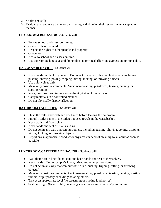- 2. Sit flat and still;
- 3. Exhibit good audience behavior by listening and showing their respect in an acceptable manner.

## **CLASSROOM BEHAVIOR** - Students will:

- Follow school and classroom rules.
- Come to class prepared.
- Respect the rights of other people and property.
- Cooperate.
- Arrive to school and classes on time.
- Use appropriate language and do not display physical affection, aggression, or horseplay.

### **HALLWAY BEHAVIOR** - Students will

- Keep hands and feet to yourself. Do not act in any way that can hurt others, including pushing, shoving, poking, tripping, hitting, kicking, or throwing objects.
- Use quiet voices only.
- Make only positive comments. Avoid name-calling, put-downs, teasing, cursing, or starting rumors.
- Walk, don't run, and try to stay on the right side of the hallway.
- Carry materials in a controlled manner.
- Do not physically display affection.

### **BATHROOM FACILITIES** - Students will

- Flush the toilet and wash and dry hands before leaving the bathroom.
- Put only toilet paper in the toilet; put used towels in the wastebasket.
- Keep walls and floors clean.
- Keep hands and feet off stalls and walls.
- Do not act in any way that can hurt others, including pushing, shoving, poking, tripping, hitting, kicking, or throwing objects.
- Report any inappropriate conduct or any areas in need of cleaning to an adult as soon as possible.

### **LUNCHROOM/CAFETERIA BEHAVIOR** - Students will

- Wait their turn in line (do not cut) and keep hands and feet to themselves.
- Keep hands off other people's lunch, drink, and other possessions.
- Do not act in any way that can hurt others (i.e. pushing, tripping, hitting, or throwing objects.)
- Make only positive comments. Avoid name-calling, put-downs, teasing, cursing, starting rumors, or purposely excluding/isolating others.
- Talk at an appropriate level (no screaming or making loud noises).
- Seat only eight (8) to a table; no saving seats; do not move others' possessions.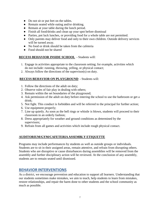- Do not sit or put feet on the tables.
- Remain seated while eating and/or drinking.
- Remain at your table during the lunch period.
- Finish all food/drinks and clean up your spot before dismissal
- Parties, pot luck lunches, or providing food for a whole table are not permitted.
- Only parents may deliver food and only to their own children. Outside delivery services will be turned away.
- No food or drink should be taken from the cafeteria
- Food should not be shared

#### **RECESS BEHAVIOR INSIDE SCHOOL** - Students will:

- 1. Engage in activities appropriate to the classroom setting; for example, activities which do not include: running, throwing, yelling, or physical contact;
- 2. Always follow the directions of the supervisor(s) on duty.

#### **RECESS BEHAVIOR ON PLAYGROUND** - Students will:

- 1. Follow the directions of the adult on duty;
- 2. Observe rules of fair play in dealing with others;
- 3. Remain within the set boundaries of the playground;
- 4. Ask permission of the adult on duty before entering the school to use the bathroom or get a drink;
- 5. Not fight. This conduct is forbidden and will be referred to the principal for further action;
- 6. Use equipment properly;
- 7. Line up quietly. As soon as the bell rings or whistle is blown, students will proceed to their classroom in an orderly fashion;
- 8. Dress appropriately for weather and ground conditions as determined by the supervisors;
- 9. Refrain from all games and activities which include rough physical contact.

### **AUDITORIUM/GYM/CAFETERIAASSEMBLY ETIQUETTE**

Programs may include performances by students as well as outside groups or individuals. Students are to sit in their assigned areas, remain attentive, and refrain from disrupting others. Students who are disruptive or cause disturbances during assemblies will be removed from the assembly and further disciplinary action will be reviewed. At the conclusion of any assembly, students are to remain seated until dismissed.

# **BEHAVIOR INTERVENTIONS**

As a district, we encourage prevention and education to support all learners. Understanding that our students sometimes make mistakes, we aim to teach, help students to learn from mistakes, restore relationships, and repair the harm done to other students and the school community as much as possible.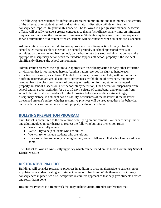The following consequences for infractions are stated in minimums and maximums. The severity of the offense, prior student record, and administrator's discretion will determine the consequence imposed. In general, this code will be followed in a progressive manner. A second offense will usually receive a greater consequence than a first offense; at any time, an infraction may warrant imposing the maximum consequence. Students may face maximum consequence for an accumulation of different offenses. Parents will be contacted when students are suspended.

Administration reserves the right to take appropriate disciplinary action for any infraction of school rules that takes place at school, on school grounds, at school-sponsored events or activities, on the way to and from school, on the bus, or at a bus stop. Administration may take appropriate disciplinary action when the incident happens off school property if the incident significantly disrupts the school environment.

Administration reserves the right to take appropriate disciplinary action for any other infraction or violation that is not included herein. Administration reserves the right to handle each infraction on a case-by-case basis. Potential disciplinary measures include, without limitation, notifying parents/guardians, disciplinary conferences, withholding of privileges, temporary removal from the classroom, return of property or restitution for lost, stolen or damaged property, in-school suspension, after-school study/detention, lunch detention, suspension from school and all school activities for up to 10 days, seizure of contraband, and expulsion from school. Administrators consider all of the following before suspending a student: age, disciplinary history, if a student has a disability, seriousness of the behavior, if the behavior threatened anyone's safety, whether restorative practices will be used to address the behavior, and whether a lesser intervention would properly address the behavior.

# **BULLYING PREVENTION PROGRAM**

Our District is committed to the prevention of bullying on our campus. We expect every student and adult involved in our district to respect the following bullying prevention rules:

- We will not bully others.
- We will try to help students who are bullied.
- We will try to include students who are left out.
- If we know that somebody is being bullied, we will tell an adult at school and an adult at home.

The District follows an Anti-Bullying policy which can be found on the Novi Community School District website.

# **RESTORATIVE PRACTICE**

Buildings will consider restorative practices in addition to or as an alternative to suspension or expulsion of a student dealing with student behavior infractions. While there are disciplinary consequences in place, we also incorporate restorative approaches that help give students a voice and repair harm done.

Restorative Practice is a framework that may include victim/offender conferences that: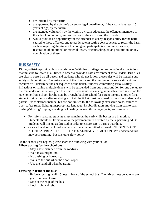- are initiated by the victim;
- are approved by the victim's parent or legal guardian or, if the victim is at least 15 years of age, by the victim;
- are attended voluntarily by the victim, a victim advocate, the offender, members of the school community, and supporters of the victim and the offender;
- would provide an opportunity for the offender to accept responsibility for the harm caused to those affected, and to participate in setting consequences to repair the harm, such as requiring the student to apologize, participate in community service, restoration of emotional or material losses, or counseling, paying restitution, or any combination of these.

# **BUS SAFETY**

Riding a district-provided bus is a privilege. With that privilege comes behavioral expectations that must be followed at all times in order to provide a safe environment for all riders. Bus rules are clearly posted on all buses, and students who do not follow those rules will be issued a bus safety violation ticket. The seriousness of the offense and the number of tickets a student has received will determine the consequence of the ticket. Students committing serious safety infractions or having multiple tickets will be suspended from bus transportation for one day up to the remainder of the school year. If a student's behavior is causing an unsafe environment on the ride home from school, he/she may be brought back to school for parent pickup. In order for a student to ride the bus after receiving a ticket, the ticket must be signed by both the student and a parent. Bus violations include, but are not limited to, the following: excessive noise, failure to obey safety rules, fighting, inappropriate language, insubordination, moving from seat to seat, pushing/shoving/tripping, standing or kneeling on seat, throwing objects, and vandalism.

- For safety reasons, students must remain on the curb while busses are in motion. Students should NOT move onto the pavement until directed by the supervising adults. Students will line up as directed in order to ensure safety during boarding.
- Once a bus door is closed, students will not be permitted to board. STUDENTS ARE NOT TO APPROACH A BUS THAT IS ALREADY IN MOTION. We understand this may be frustrating, but it is our safety policy.

As the school year begins, please share the following with your child:

#### **When waiting for the school bus***:*

- Stay a safe distance from the roadway.
- Wait in a straight line.
- No pushing or horseplay.
- Walk to the bus when the door is open.
- Use the handrail when boarding.

#### **Crossing in front of the bus***:*

- •Before crossing, walk 15 feet in front of the school bus. The driver must be able to see you from head to toe.
- Stop at the edge of the bus.
- Look right and left.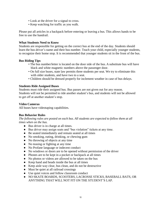- Look at the driver for a signal to cross.
- Keep watching for traffic as you walk.

Please put all articles in a backpack before entering or leaving a bus. This allows hands to be free to use the handrail.

#### **What Students Need to Know**

Students are responsible for getting on the correct bus at the end of the day. Students should learn the bus driver's name and their bus number. Teach your child, especially younger students, to recognize their home stop. It is recommended that younger students sit in the front of the bus.

#### **Bus Riding Tips**

- The bus number/letter is located on the door side of the bus. A substitute bus will have black and white magnetic numbers above the passenger door.
- On full size buses, state law permits three students per seat. We try to eliminate this with older students, and have two to a seat.
- Children should be dressed properly for inclement weather in case of bus delays.

#### **Students Ride Assigned Buses**

Students must ride their assigned bus. Bus passes are not given out for any reason. Students will not be permitted to ride another student's bus, and students will not be allowed to get off at another student's stop.

#### **Video Cameras**

All buses have videotaping capabilities.

#### **Bus Behavior Rules**

*The following rules are posted on each bus. All students are expected to follow them at all times when on the bus.*

- Bus driver is in charge at all times.
- Bus driver may assign seats and "bus violation" tickets at any time.
- Be seated immediately and remain seated at all times
- No smoking, eating, drinking, or chewing gum
- No throwing of objects at any time
- No teasing or fighting at any time
- No Profane language or indecent conduct
- No windows or doors are to be opened without permission of the driver
- Phones are to be kept in a pocket or backpack at all times
- No photos or videos are allowed to be taken on the bus
- Keep hand and heads inside the bus at all times
- Keep aisle way clear, bus clean, and do not be destructive
- Must be quiet at all railroad crossings
- Use quiet voices and follow classroom conduct
- NO SKATE BOARDS, SCOOTERS, LACROSSE STICKS, BASEBALL BATS, OR ANYTHING THAT WILL NOT FIT ON THE STUDENT'S LAP.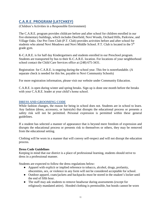# **C.A.R.E. PROGRAM (LATCHKEY)**

(Children's Activities in a Responsible Environment)

The C.A.R.E. program provides childcare before and after school for children enrolled in our five elementary buildings, which includes Deerfield, Novi Woods, Orchard Hills, Parkview, and Village Oaks. Our Pre-Teen Club (P.T. Club) provides activities before and after school for students who attend Novi Meadows and Novi Middle School. P.T. Club is located in the 5<sup>th</sup> grade gym.

K-C.A.R.E. is for half day Kindergartners and students enrolled in our Preschool program. Students are transported by bus to their K-C.A.R.E. location. For locations of your neighborhood school contact the Child Care Services office at (248) 675-3431.

Registration for C.A.R.E. is ongoing during the school year. This fee is nonrefundable. (A separate check is needed for this fee, payable to Novi Community Schools)

For more registration information, please visit our website under Community Education.

C.A.R.E. is open during winter and spring breaks. Sign up is done one month before the breaks with your C.A.R.E. leader at your child's home school.

#### **DRESS AND GROOMING CODE**

While fashion changes, the reason for being in school does not. Students are in school to learn. Any fashion (dress, accessory, or hairstyle) that disrupts the educational process or presents a safety risk will not be permitted. Personal expression is permitted within these general guidelines.

If a student has selected a manner of appearance that is beyond mere freedom of expression and disrupts the educational process or presents risk to themselves or others, they may be removed from the educational setting.

Clothing will be worn in a manner that will convey self-respect and will not disrupt the education process.

#### **Dress Code Guidelines**

Keeping in mind that our district is a place of professional learning, students should strive to dress in a professional manner.

Students are expected to follow the dress regulations below:

- Apparel with explicit or implied reference to tobacco, alcohol, drugs, profanity, obscenities, sex, or violence in any form will not be considered acceptable for school.
- Outdoor apparel, coats/jackets and backpacks must be stored in the student's locker until the end of fifth hour.
- The staff may ask students to remove headwear during assessments (except for religiously mandated attire). Hooded clothing is permissible, but hoods cannot be worn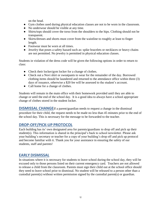on the head.

- Gym clothes used during physical education classes are not to be worn in the classroom.
- No underwear should be visible at any time.
- Shirts/tops should cover the torso from the shoulders to the hips. Clothing should not be transparent.
- Skirts/dresses and shorts must cover from the waistline to roughly at least to finger length.
- Footwear must be worn at all times.
- Jewelry that poses a safety hazard such as: spike bracelets or necklaces or heavy chains are not permitted. No jewelry is permitted in physical education classes.

Students in violation of the dress code will be given the following options in order to return to class:

- Check their locker/gym locker for a change of clothes.
- Check out a Novi shirt or sweatpants to wear for the remainder of the day. Borrowed clothing items should be laundered and returned to the attendance office within three (3) days of issuance, otherwise a \$20 fee will be assessed to the student's account.
- Call home for a change of clothes.

Students will remain in the main office with their homework provided until they are able to change or until the end of the school day. It is a good idea to always have a school appropriate change of clothes stored in the student locker.

**DISMISSAL CHANGE**If a parent/guardian needs to request a change in the dismissal procedure for their child, the request needs to be made no less than 45 minutes prior to the end of the school day. This is necessary for the message to be forwarded to the teacher.

# **DROP-OFF/PICK-UP PROTOCOL**

Each building has its' own designated area for parents/guardians to drop off and pick up their student(s). This information is shared in the principal's back to school newsletter. Please ask your building's secretary or teacher for a copy of your building's drop off and pick up protocol and become familiar with it. Thank you for your assistance in ensuring the safety of our students, staff and parents!

# **EARLY DISMISSAL**

In situations where it is necessary for students to leave school during the school day, they will be excused only to those persons listed on their current emergency card. Teachers are not allowed to release a child from the classroom. Parents must sign their child out at the school office should they need to leave school prior to dismissal. No student will be released to a person other than a custodial parent(s) without written permission signed by the custodial parent(s) or guardian.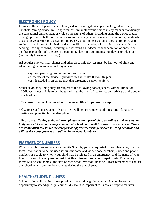# **ELECTRONICS POLICY**

Using a cellular telephone, smartphone, video recording device, personal digital assistant, handheld gaming device, music speaker, or similar electronic device in any manner that disrupts the educational environment or violates the rights of others, including using the device to take photographs in the bathroom or locker room (or of any person anywhere on school grounds who does not give permission), cheat, or otherwise violate student conduct rules is prohibited and subject to discipline. Prohibited conduct specifically includes, without limitation, creating and sending, sharing, viewing, receiving or possessing an indecent visual depiction of oneself or another person through the use of a computer, electronic communication device or telephone (commonly known as "sexting").

All cellular phones, smartphones and other electronic devices must be kept out-of-sight and silent during the regular school day unless:

- (a) the supervising teacher grants permission;
- (b) the use of the device is provided in a student's IEP or 504 plan;
- (c) it is needed in an emergency that threatens a person's safety.

Students violating this policy are subject to the following consequences, without limitation: 1 st Offense: electronic item will be turned in to the main office for **student pick up** at the end of the school day

2 nd Offense: item will be turned in to the main office for **parent pick up**

3rd Offense and subsequent offenses: item will be turned over to administration for a parent meeting and potential further discipline.

\*\*Please note: *Taking and/or sharing photos without permission, as well as cruel, teasing, or bullying social media messages created at school can result in serious consequences. These behaviors often fall under the category of aggressive, teasing, or even bullying behavior and will receive consequences as outlined in the behavior above.*

### **EMERGENCY NUMBERS**

When your child enters Novi Community Schools, you are requested to complete a registration form. Information to be included is: current home and work phone numbers, names and phone numbers of people to whom your child may be released in an emergency, and the name of your family doctor. **It is very important that this information be kept up-to-date.** Emergency forms will be sent home at the start of each school year for updating. Please remember to contact the school when your numbers change during the school year.

## **HEALTH/STUDENT ILLNESS**

Schools bring children into close physical contact, thus giving communicable diseases an opportunity to spread quickly. Your child's health is important to us. We attempt to maintain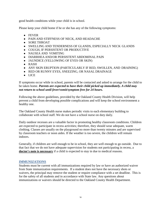good health conditions while your child is in school.

Please keep your child home if he or she has any of the following symptoms:

- FEVER
- PAIN AND STIFFNESS OF NECK, AND HEADACHE
- SORE THROAT
- SWELLING AND TENDERNESS OF GLANDS, ESPECIALLY NECK GLANDS
- COUGH, IF PERSISTENT OR PRODUCTIVE
- NAUSEA AND VOMITING
- DIARRHEAAND/OR PERSISTENT ABDOMINAL PAIN
- JAUNDICE (YELLOWING OF EYES OR SKIN)
- RASH
- ANY SKIN ERUPTION (PARTICULARLY IF RED, SWOLLEN, AND DRAINING)
- RED OR RUNNY EYES, SNEEZING, OR NASAL DRAINAGE
- LICE

If symptoms occur while in school, parents will be contacted and asked to arrange for the child to be taken home. *Parents are expected to have their child picked up immediately. A child may not return to school until fever/vomit/symptom free for 24 hours.*

Following the above guidelines, provided by the Oakland County Health Division, will help prevent a child from developing possible complications and will keep the school environment a healthy one.

The Oakland County Health nurse makes periodic visits to each elementary building to collaborate with school staff. We do not have a school nurse on duty daily.

Daily outdoor recesses are a valuable factor in promoting healthy classroom conditions. Children are expected to participate in recess activities; therefore, they should wear adequate, warm clothing. Classes are usually on the playground no more than twenty minutes and are supervised by classroom teachers or noon aides. If the weather is too severe, the children will remain indoors.

Generally, if children are well enough to be in school, they are well enough to go outside. Due to that fact that we do not have adequate supervision for students not participating in recess, a **doctor's note is necessary** if a child is expected to stay in due to medical reasons.

#### **IMMUNIZATIONS**

Students must be current with all immunizations required by law or have an authorized waiver from State immunization requirements. If a student does not have the necessary shots or waivers, the principal may remove the student or require compliance with a set deadline. This is for the safety of all students and in accordance with State law. Any questions about immunizations or waivers should be directed to the Oakland County Health Department.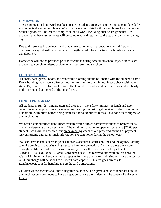#### **HOMEWORK**

The assignment of homework can be expected. Students are given ample time to complete daily assignments during school hours. Work that is not completed will be sent home for completion. Student grades will reflect the completion of all work, including outside assignments. It is expected that these assignments will be completed and returned to the teacher on the following day.

Due to differences in age levels and grade levels, homework expectations will differ. Any homework assigned will be reasonable in length in order to allow time for family and social development.

Homework will not be provided prior to vacations during scheduled school days. Students are expected to complete missed assignments after returning to school.

#### **LOST AND FOUND**

All coats, hats, gloves, boots, and removable clothing should be labeled with the student's name. Every building may have a different location for their lost and found. Please check with your student(s)' main office for that location. Unclaimed lost and found items are donated to charity in the spring and at the end of the school year.

## **LUNCH PROGRAM**

All students in full-day kindergarten and grades 1-4 have forty minutes for lunch and noon recess. In an attempt to prevent students from eating too fast to get outside, students stay in the lunchroom 20 minutes before being dismissed for a 20 minute recess. Paid noon aides supervise the lunch hours.

We offer a computerized debit lunch system, which allows parents/guardians to prepay for as many meals/snacks as a parent wants. The minimum amount to open an account is \$20.00 per student. Cash will be accepted, but prepayment by check is our preferred method of payment. Current pricing and other lunch information are sent home during the school year.

You can have instant access to your children's account histories on-line and the optional ability to make credit card deposits using a secure Internet connection. You can access the account through the MiStar Portal on our website or by calling the Food Service Department (248)449.1200, ext. 2020. All credit card deposits will be received into your child's account within 15 minutes and you can make deposits for more than one child using only one transaction! A 6% surcharge will be added to all credit card deposits. This fee goes directly to LunchDeposit.com for handling the credit card transactions.

Children whose accounts fall into a negative balance will be given a balance reminder note. If the lunch account continues to have a negative balance the student will be given a Replacement Lunch.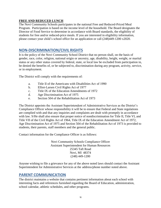#### **FREE AND REDUCED LUNCH**

The Novi Community Schools participates in the national Free and Reduced-Priced Meal Program. Participation is based on the income level of the household. The Board designates the Director of Food Service to determine in accordance with Board standards, the eligibility of students for free and/or reduced-price meals. If you are interested in eligibility information, please contact your child's school office for an application or call (248)449-1200 x2020.

## **NON-DISCRIMINATION/CIVIL RIGHTS**

It is the policy of the Novi Community School District that no person shall, on the basis of gender, race, color, religion, national origin or ancestry, age, disability, height, weight, or marital status or any other status covered by federal, state, or local law be excluded from participation in, be denied the benefits of, or be subjected to, discrimination during any program, activity, service, or in employment.

The District will comply with the requirements of:

- a. Title II of the Americans with Disabilities Act of 1990
- b. Elliot-Larsen Civil Rights Act of 1977
- c. Title IX of the Education Amendments of 1972
- d. Age Discrimination Act of 1975
- e. Section 504 of the Rehabilitation Act of 1973

The District appoints the Assistant Superintendent of Administrative Services as the District's Compliance Officer whose responsibility it will be to ensure that Federal and State regulations are complied with and that any inquiries and complaints are dealt with promptly in accordance with law. S/He shall also ensure that proper notice of nondiscrimination for Title II, Title VI, and Title VII of the Civil Rights Act of 1964, Title IX of the Education Amendment Act of 1972, Age Discrimination Act of 1975 and Section 504 of the Rehabilitation Act of 1973 is provided to students, their parents, staff members and the general public.

Contact information for the Compliance Officer is as follows:

Novi Community Schools Compliance Officer Assistant Superintendent for Human Resources 25345 Taft Road Novi, MI 48374 (248) 449-1200

Anyone wishing to file a grievance for any of the above noted laws should contact the Assistant Superintendent for Administrative Services at the address/phone number noted above.

## **PARENT COMMUNICATION**

The district maintains a website that contains pertinent information about each school with interesting facts and references furnished regarding the Board of Education, administration, school calendar, athletic schedules, and other programs.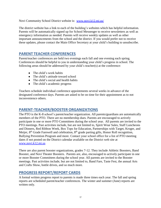Novi Community School District website is: [www.novi.k12.mi.us/](http://www.novi.k12.mi.us/)

The district website has a link to each of the building's websites which has helpful information. Parents will be automatically signed up for School Messenger to receive newsletters as well as emergency information as needed. Parents will receive weekly updates as well as other important announcements from the school and the district. If you would prefer not to receive these updates, please contact the Main Office Secretary at your child's building to unsubscribe.

# **PARENT TEACHER CONFERENCES**

Parent/teacher conferences are held two evenings each fall and one evening each spring. Conferences should be helpful to you in understanding your child's progress in school. The following areas should be addressed by your child's teacher(s) at the conference:

- $\bullet$  The child's work habits
- The child's attitude toward school
- The child's social and health habits
- The child's academic progress

Teachers schedule individual conference appointments several weeks in advance of the designated conference days. Parents are asked to be on time for their appointment as to not inconvenience others.

# **PARENT-TEACHER/BOOSTER ORGANIZATIONS**

The PTO is the K-8 school's parent/teacher organization. All parents/guardians are automatically members of the PTO. There are no membership dues. Parents are encouraged to actively participate in one or more PTO Committees during the school year. All parents are invited to the PTO meetings. Past activities include, but are not limited to, Spirit Wear Sales, Staff Luncheons and Dinners, Red Ribbon Week, Box Tops for Education, Partnerships with Target, Kroger, and Meijer, 8<sup>th</sup> Grade Farewell and celebration, 8<sup>th</sup> grade parting gifts, Honor Roll recognition, Bullying Prevention Program and more. Contact your school office for a list of PTO meeting dates if not posted on the District calendar available on the District web site at [www.novi.k12.mi.us](http://www.novi.k12.mi.us/)

There are also parent booster organizations, grades 7-12. They include Athletic Boosters, Band Booster, and Novi Theater Boosters. Parents are, also, encouraged to actively participate in one or more Booster Committees during the school year. All parents are invited to the Booster meetings. Past activities include, but are not limited to, Band Fare, Taste Fest, the annual Arts and Crafts Show, bottle drives, and so much more.

## **PROGRESS REPORT/REPORT CARDS**

A formal written progress report to parents is made three times each year. The fall and spring reports are scheduled parent/teacher conferences. The winter and summer (June) reports are written only.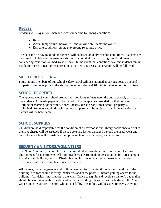# **RECESS**

Students will stay in for lunch and recess under the following conditions:

- Rain
- Actual temperatures below  $0^{\circ}$  F and/or wind chill factor below  $0^{\circ}$  F.
- Extreme conditions on the playground (e.g. mud or ice)

The decision on having outdoor recesses will be based on daily weather conditions. Teachers are permitted to hold other recesses at a shorter span on their own by using sound judgment considering conditions on bad-weather days. In the event that conditions warrant students remain inside for recess, a team procedure among teachers and recess supervisors will be followed.

# **SAFETY PATROL – K-4**

Fourth grade members of our school Safety Patrol will be stationed at various posts on school property 15 minutes prior to the start of the school day and 10 minutes after school is dismissed.

# **SCHOOL PROPERTY**

The appearance of your school grounds and corridors reflects upon the entire school, particularly the students. All waste paper is to be placed in the receptacles provided for that purpose. Marking or marring doors, walls, floors, lockers, desks or any other school property is prohibited. Students caught defacing school property will be subject to disciplinary action and parents will be held liable.

# **SCHOOL SUPPLIES**

Children are held responsible for the condition of all textbooks and library books checked out to them. A charge will be assessed if these books are lost or damaged beyond the usual wear and tear. The schools will furnish basic supplies such as pencils, paper, and crayons.

# **SECURITY & VISITORS/VOLUNTEERS**

The Novi Community School District is committed to providing a safe and secure learning environment for our students. All buildings have electronic door access and public area cameras in and around buildings and on District busses. It is hoped that these measures will assist in providing a safe and secure learning environment.

All visitors, including parents and siblings, are required to enter through the front door of the building. Visitors should identify themselves and show photo ID before gaining access to the building. All visitors must report to the Main Office to sign in and receive a visitor's badge that should be worn in a visible location while in the building. Please return the badges to the Main Office upon departure. Visitors who do not follow this policy will be asked to leave. Anyone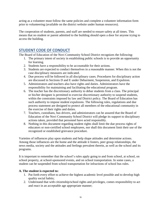acting as a volunteer must follow the same policies and complete a volunteer information form prior to volunteering (available on the district website under human resources).

The cooperation of students, parents, and staff are needed to ensure safety at all times. This means that no student or parent admitted to the building should open a door for anyone trying to access the building.

# **STUDENT CODE OF CONDUCT**

The Board of Education of the Novi Community School District recognizes the following:

- 1. The primary intent of society in establishing public schools is to provide an opportunity for learning.
- 2. Students have a responsibility to be accountable for their actions.
- 3. Students are expected to conduct themselves in a reasonable manner. When this is not the case disciplinary measures are indicated.
- 4. Due process will be followed in all disciplinary cases. Procedures for disciplinary action are discussed in Sections D and E under Debarment, Suspension, and Expulsion.
- 5. Administrators and teachers also have rights and duties. Administrators have the responsibility for maintaining and facilitating the educational program.
- 6. The teacher has the discretionary authority to debar students from a class. The principal or his/her designee is permitted to exercise discretionary authority to suspend students, within the constraints imposed by law and District policy. The Board of Education has such authority to impose student expulsions. The following rules, regulations and due process statement are designed to protect all members of the educational community in the exercise of their rights and duties.
- 7. Teachers, custodians, bus drivers, and administrators can be assured that the Board of Education of the Novi Community School District will pledge its support to disciplinary actions taken, provided that personnel have acted responsibly.
- 8. Nothing in this document regarding student rights shall limit the due process rights of educators or non-certified school employees, nor shall this document limit their use of the recognized or established grievance procedure.

Varieties of influences play upon students and help shape attitudes and determine actions. Among those influences are the home and the attitude it fosters, peer group relationships, the news media, society and the attitudes and feelings prevalent therein, as well as the school and its programs.

It is important to remember that the school's rules apply going to and from school, at school, on school property, at school-sponsored events, and on school transportation. In some cases, a student can be suspended from school transportation for infractions of school bus rules.

### **A. The student is expected to:**

- 1. Put forth every effort to achieve the highest academic level possible and to develop high quality social habits;
- 2. Understand that with citizenship/school rights and privileges, comes responsibility to act and react in an acceptable age appropriate manner;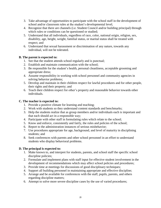- 3. Take advantage of opportunities to participate with the school staff in the development of school and/or classroom rules at the student's developmental level;
- 4. Recognize that there are channels (i.e. Student Council and/or building principal) through which rules or conditions can be questioned or studied;
- 5. Understand that all individuals, regardless of race, color, national origin, religion, sex, disability, age, height, weight, familial status, or marital status shall be treated with respect; and
- 6. Understand that sexual harassment or discrimination of any nature, towards any individual, will not be tolerated.

### **B. The parent is expected to:**

- 1. See that the student attends school regularly and is punctual;
- 2. Establish and maintain communication with the school;
- 3. Be responsible for the student's health, personal cleanliness, acceptable grooming and appropriate dress;
- 4. Assume responsibility in working with school personnel and community agencies in solving behavior problems;
- 5. Develop and maintain in their children respect for lawful procedures and for other people, their rights and their property; and
- 6. Teach their children respect for other's property and reasonable behavior towards other individuals.

#### **C. The teacher is expected to:**

- 1. Provide a positive climate for learning and teaching;
- 2. Work with students so they understand content standards and benchmarks;
- 3. Help the students realize that as group members and/or individuals each is important and that each should act in a responsible way;
- 4. Participate with other staff in formulating rules which relate to the school;
- 5. Know and enforce, consistently and fairly, the rules and policies of the school;
- 6. Report to the administration instances of serious misbehavior;
- 7. Use procedures appropriate for age, background, and level of maturity in disciplining students; and
- 8. Seek conferences with parents and other school personnel in an effort to understand students who display behavioral problems.

### **D. The principal is expected to:**

- 1. Make known to, and interpret for students, parents, and school staff the specific school discipline policies;
- 2. Formulate and implement plans with staff input for effective student involvement in the development of recommendations which may affect school policies and procedures;
- 3. Provide time at meetings for discussions of good disciplinary techniques;
- 4. Support all building personnel in maintaining appropriate and effective discipline;
- 5. Arrange and be available for conferences with the staff, pupils, parents, and others regarding discipline matters;
- 6. Attempt to solve more severe discipline cases by the use of varied procedures;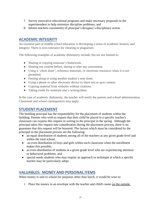- 7. Survey innovative educational programs and make necessary proposals to the superintendent to help minimize discipline problems; and
- 8. Inform teachers consistently of principal's/designee's disciplinary action.

# **ACADEMIC INTEGRITY**

An essential part of middle school education is developing a sense of academic honesty and integrity. There is zero tolerance for cheating or plagiarism.

The following examples of academic dishonesty include, but are not limited to:

- Sharing or copying someone's homework.
- Sharing test content before, during or after any assessment.
- Using a "cheat sheet", reference materials, or electronic resources when it is not permitted.
- Passing along or using another student's note sheet.
- Using a phone or other electronic device to share test or quiz content.
- Copying material from websites without citations.
- Taking credit for someone else's writing/ideas.

In the case of academic dishonesty, the teacher will notify the parents and school administration. Classroom and school consequences may apply.

# **STUDENT PLACEMENT**

The building principal has the responsibility for the placement of students within the building. Parents who wish to request that their child be placed in a specific teacher's classroom can express this request in writing to the principal in the spring. Although the principal takes this request into consideration during the placement process, there is no guarantee that this request will be honored. The factors which must be considered by the principal in the placement process are the following:

- an equal distribution of students among all of the teachers at any given grade level and within the total school,
- an even distribution of boys and girls within each classroom when the enrollment makes this possible,
- an even distribution of students at a given grade level who are experiencing attention or behavioral problems, and
- special needs students who may require an approach or technique at which a specific teacher may be particularly adept.

# **VALUABLES: MONEY AND PERSONAL ITEMS**

When money is sent to school for purposes other than lunch, it would be wise to:

1. Place the money in an envelope with the teacher and child's name on the outside.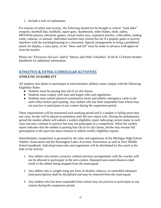2. Include a note of explanation.

For reasons of safety and security, the following should not be brought to school: "look alike" weapons, baseball bats, hardballs, squirt guns, skateboards, roller blades, sleds, radios, MP3/iPods players, electronic games, virtual reality toys, expensive jewelry, collectables, trading cards, cameras, or animals. Individual teachers may extend this list if a popular game or activity interferes with the teaching/learning in a classroom. Special arrangements to bring a prohibited article for display, a class party, or for "show and tell" must be made in advance with approval from the teacher.

Please see "Electronic Devices" and/or "Money and Other Valuables" of the K-12 Parent-Student Handbook for additional information.

# **ATHLETICS & EXTRA-CURRICULAR ACTIVITIES ATHLETIC ELIGIBILITY**

All students who desire to participate in interscholastic athletics must comply with the following Eligibility Rules:

- Students must be passing four  $(4)$  of six  $(6)$  classes.
- Students must comply with state and league rules and regulations.
- Students must submit physical examination forms and athletic emergency cards to the main office before participating. Any student who has been suspended from school may not practice or participate in any contest during the suspension period.

These requirements will be monitored each marking period and if a student is failing more than one class, he/she will be placed on probation until the next report card. During the probationary period the student athlete will submit a weekly eligibility report indicating current status in each class and may continue to practice but may not participate in a competition. When the weekly report indicates that the student is passing four (4) of six (6) classes, he/she may resume full participation in the sport but must continue to submit weekly eligibility reports.

Interscholastic competition is governed by the rules and regulations of the Michigan High School Athletic Association and the Kensington Lakes Activities Association as well as Novi Middle School handbook. Individual team rules and regulations will be distributed by the coach at the time of the activity.

- 1. Any athlete who misses a practice without previous arrangements with the coaches will not be allowed to participate in the next contest. Repeated unexcused absences shall result in the athlete being dropped from the team/squad.
- 2. Any athlete who is caught using any form of alcohol, tobacco, or controlled substance (non-prescription) shall be disciplined and may be removed from the team/squad.
- 3. Any student who has been suspended from school may not practice or participate in any contest during the suspension period.